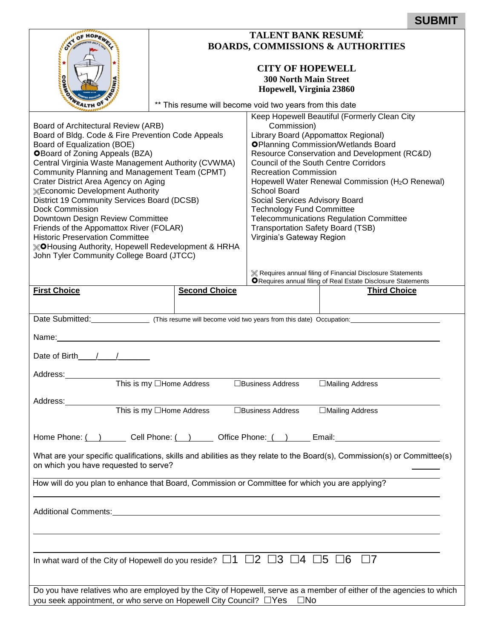|                                                                                                                           | <b>TALENT BANK RESUMÉ</b>                                                        |                                                                                   |                                                                                     |  |  |  |
|---------------------------------------------------------------------------------------------------------------------------|----------------------------------------------------------------------------------|-----------------------------------------------------------------------------------|-------------------------------------------------------------------------------------|--|--|--|
|                                                                                                                           | <b>BOARDS, COMMISSIONS &amp; AUTHORITIES</b>                                     |                                                                                   |                                                                                     |  |  |  |
|                                                                                                                           | <b>CITY OF HOPEWELL</b><br><b>300 North Main Street</b>                          |                                                                                   |                                                                                     |  |  |  |
|                                                                                                                           | Hopewell, Virginia 23860                                                         |                                                                                   |                                                                                     |  |  |  |
|                                                                                                                           | ** This resume will become void two years from this date                         |                                                                                   |                                                                                     |  |  |  |
| Board of Architectural Review (ARB)                                                                                       |                                                                                  |                                                                                   | Keep Hopewell Beautiful (Formerly Clean City<br>Commission)                         |  |  |  |
| Board of Bldg. Code & Fire Prevention Code Appeals<br>Board of Equalization (BOE)                                         |                                                                                  | Library Board (Appomattox Regional)<br><b>OPlanning Commission/Wetlands Board</b> |                                                                                     |  |  |  |
| <b>OBoard of Zoning Appeals (BZA)</b>                                                                                     |                                                                                  | Resource Conservation and Development (RC&D)                                      |                                                                                     |  |  |  |
| Central Virginia Waste Management Authority (CVWMA)<br>Community Planning and Management Team (CPMT)                      |                                                                                  | <b>Council of the South Centre Corridors</b><br><b>Recreation Commission</b>      |                                                                                     |  |  |  |
| Crater District Area Agency on Aging<br><b>KEconomic Development Authority</b>                                            |                                                                                  | Hopewell Water Renewal Commission (H <sub>2</sub> O Renewal)<br>School Board      |                                                                                     |  |  |  |
| District 19 Community Services Board (DCSB)<br><b>Dock Commission</b>                                                     |                                                                                  | Social Services Advisory Board<br><b>Technology Fund Committee</b>                |                                                                                     |  |  |  |
| Downtown Design Review Committee                                                                                          |                                                                                  | <b>Telecommunications Regulation Committee</b>                                    |                                                                                     |  |  |  |
| Friends of the Appomattox River (FOLAR)<br><b>Historic Preservation Committee</b>                                         |                                                                                  | <b>Transportation Safety Board (TSB)</b><br>Virginia's Gateway Region             |                                                                                     |  |  |  |
| <b>XOHousing Authority, Hopewell Redevelopment &amp; HRHA</b><br>John Tyler Community College Board (JTCC)                |                                                                                  |                                                                                   |                                                                                     |  |  |  |
|                                                                                                                           |                                                                                  |                                                                                   | <b>K</b> Requires annual filing of Financial Disclosure Statements                  |  |  |  |
| <b>First Choice</b>                                                                                                       | <b>Second Choice</b>                                                             |                                                                                   | ORequires annual filing of Real Estate Disclosure Statements<br><b>Third Choice</b> |  |  |  |
|                                                                                                                           |                                                                                  |                                                                                   |                                                                                     |  |  |  |
| Date Submitted: This resume will become void two years from this date) Occupation:                                        |                                                                                  |                                                                                   |                                                                                     |  |  |  |
| Name:                                                                                                                     |                                                                                  |                                                                                   |                                                                                     |  |  |  |
| Date of Birth $/$ /                                                                                                       |                                                                                  |                                                                                   |                                                                                     |  |  |  |
| Address:                                                                                                                  |                                                                                  |                                                                                   |                                                                                     |  |  |  |
|                                                                                                                           | This is my $\Box$ Home Address                                                   | □Business Address                                                                 | □Mailing Address                                                                    |  |  |  |
| Address:                                                                                                                  |                                                                                  |                                                                                   |                                                                                     |  |  |  |
|                                                                                                                           | This is my □Home Address □Business Address □Mailing Address                      |                                                                                   |                                                                                     |  |  |  |
| Home Phone: ( ) Cell Phone: ( ) Cellen Office Phone: ( ) Chemail: Community Community Community Chemain Commun            |                                                                                  |                                                                                   |                                                                                     |  |  |  |
| What are your specific qualifications, skills and abilities as they relate to the Board(s), Commission(s) or Committee(s) |                                                                                  |                                                                                   |                                                                                     |  |  |  |
| on which you have requested to serve?                                                                                     |                                                                                  |                                                                                   |                                                                                     |  |  |  |
| How will do you plan to enhance that Board, Commission or Committee for which you are applying?                           |                                                                                  |                                                                                   |                                                                                     |  |  |  |
|                                                                                                                           |                                                                                  |                                                                                   |                                                                                     |  |  |  |
|                                                                                                                           |                                                                                  |                                                                                   |                                                                                     |  |  |  |
|                                                                                                                           | ,我们也不会有什么。""我们的人,我们也不会有什么?""我们的人,我们也不会有什么?""我们的人,我们也不会有什么?""我们的人,我们也不会有什么?""我们的人 |                                                                                   |                                                                                     |  |  |  |
| In what ward of the City of Hopewell do you reside? $\Box$ 1 $\Box$ 2 $\Box$ 3 $\Box$ 4 $\Box$ 5 $\Box$ 6 $\Box$ 7        |                                                                                  |                                                                                   |                                                                                     |  |  |  |
|                                                                                                                           |                                                                                  |                                                                                   |                                                                                     |  |  |  |
| Do you have relatives who are employed by the City of Hopewell, serve as a member of either of the agencies to which      |                                                                                  |                                                                                   |                                                                                     |  |  |  |

**SUBMIT**

| you seek appointment, or who serve on Hopewell City Council? □Yes □No |  |  |  |
|-----------------------------------------------------------------------|--|--|--|
|                                                                       |  |  |  |